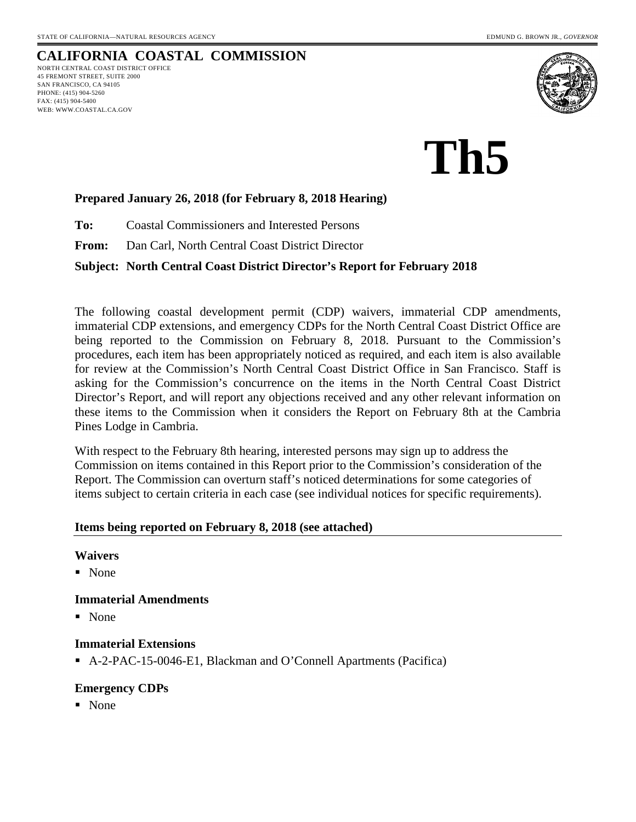# **CALIFORNIA COASTAL COMMISSION**

NORTH CENTRAL COAST DISTRICT OFFICE 45 FREMONT STREET, SUITE 2000 SAN FRANCISCO, CA 94105 PHONE: (415) 904-5260 FAX: (415) 904-5400 WEB: WWW.COASTAL.CA.GOV



**Th5**

## **Prepared January 26, 2018 (for February 8, 2018 Hearing)**

**To:** Coastal Commissioners and Interested Persons

**From:** Dan Carl, North Central Coast District Director

## **Subject: North Central Coast District Director's Report for February 2018**

The following coastal development permit (CDP) waivers, immaterial CDP amendments, immaterial CDP extensions, and emergency CDPs for the North Central Coast District Office are being reported to the Commission on February 8, 2018. Pursuant to the Commission's procedures, each item has been appropriately noticed as required, and each item is also available for review at the Commission's North Central Coast District Office in San Francisco. Staff is asking for the Commission's concurrence on the items in the North Central Coast District Director's Report, and will report any objections received and any other relevant information on these items to the Commission when it considers the Report on February 8th at the Cambria Pines Lodge in Cambria.

With respect to the February 8th hearing, interested persons may sign up to address the Commission on items contained in this Report prior to the Commission's consideration of the Report. The Commission can overturn staff's noticed determinations for some categories of items subject to certain criteria in each case (see individual notices for specific requirements).

## **Items being reported on February 8, 2018 (see attached)**

## **Waivers**

■ None

## **Immaterial Amendments**

■ None

## **Immaterial Extensions**

A-2-PAC-15-0046-E1, Blackman and O'Connell Apartments (Pacifica)

## **Emergency CDPs**

None